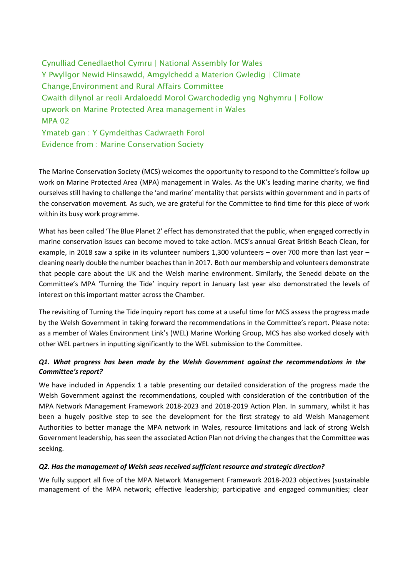Cynulliad Cenedlaethol Cymru | National Assembly for Wales Y Pwyllgor Newid Hinsawdd, Amgylchedd a Materion Gwledig | Climate Change,Environment and Rural Affairs Committee Gwaith dilynol ar reoli Ardaloedd Morol Gwarchodedig yng Nghymru | Follow upwork on Marine Protected Area management in Wales MPA 02 Ymateb gan : Y Gymdeithas Cadwraeth Forol Evidence from : Marine Conservation Society

The Marine Conservation Society (MCS) welcomes the opportunity to respond to the Committee's follow up work on Marine Protected Area (MPA) management in Wales. As the UK's leading marine charity, we find ourselves still having to challenge the 'and marine' mentality that persists within government and in parts of the conservation movement. As such, we are grateful for the Committee to find time for this piece of work within its busy work programme.

What has been called 'The Blue Planet 2' effect has demonstrated that the public, when engaged correctly in marine conservation issues can become moved to take action. MCS's annual Great British Beach Clean, for example, in 2018 saw a spike in its volunteer numbers 1,300 volunteers – over 700 more than last year – cleaning nearly double the number beachesthan in 2017. Both our membership and volunteers demonstrate that people care about the UK and the Welsh marine environment. Similarly, the Senedd debate on the Committee's MPA 'Turning the Tide' inquiry report in January last year also demonstrated the levels of interest on this important matter across the Chamber.

The revisiting of Turning the Tide inquiry report has come at a useful time for MCS assess the progress made by the Welsh Government in taking forward the recommendations in the Committee's report. Please note: as a member of Wales Environment Link's (WEL) Marine Working Group, MCS has also worked closely with other WEL partners in inputting significantly to the WEL submission to the Committee.

# *Q1. What progress has been made by the Welsh Government against the recommendations in the* Committee's report?

We have included in Appendix 1 a table presenting our detailed consideration of the progress made the Welsh Government against the recommendations, coupled with consideration of the contribution of the MPA Network Management Framework 2018-2023 and 2018-2019 Action Plan. In summary, whilst it has been a hugely positive step to see the development for the first strategy to aid Welsh Management Authorities to better manage the MPA network in Wales, resource limitations and lack of strong Welsh Government leadership, has seen the associated Action Plan not driving the changes that the Committee was seeking.

## *Q2. Has the management of Welsh seas received sufficient resource and strategic direction?*

We fully support all five of the MPA Network Management Framework 2018-2023 objectives (sustainable management of the MPA network; effective leadership; participative and engaged communities; clear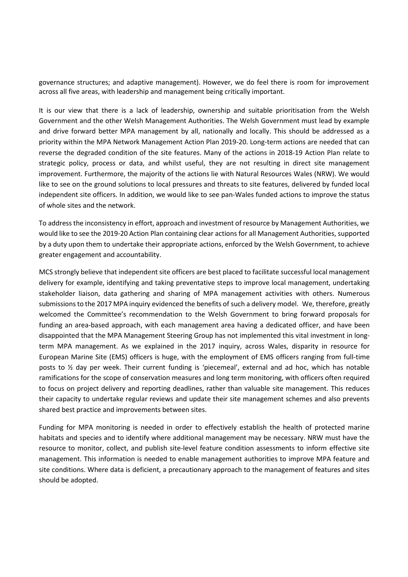governance structures; and adaptive management). However, we do feel there is room for improvement across all five areas, with leadership and management being critically important.

It is our view that there is a lack of leadership, ownership and suitable prioritisation from the Welsh Government and the other Welsh Management Authorities. The Welsh Government must lead by example and drive forward better MPA management by all, nationally and locally. This should be addressed as a priority within the MPA Network Management Action Plan 2019-20. Long-term actions are needed that can reverse the degraded condition of the site features. Many of the actions in 2018-19 Action Plan relate to strategic policy, process or data, and whilst useful, they are not resulting in direct site management improvement. Furthermore, the majority of the actions lie with Natural Resources Wales (NRW). We would like to see on the ground solutions to local pressures and threats to site features, delivered by funded local independent site officers. In addition, we would like to see pan-Wales funded actions to improve the status of whole sites and the network.

To address the inconsistency in effort, approach and investment of resource by Management Authorities, we would like to see the 2019-20 Action Plan containing clear actions for all Management Authorities, supported by a duty upon them to undertake their appropriate actions, enforced by the Welsh Government, to achieve greater engagement and accountability.

MCS strongly believe that independent site officers are best placed to facilitate successful local management delivery for example, identifying and taking preventative steps to improve local management, undertaking stakeholder liaison, data gathering and sharing of MPA management activities with others. Numerous submissions to the 2017 MPA inquiry evidenced the benefits of such a delivery model. We, therefore, greatly welcomed the Committee's recommendation to the Welsh Government to bring forward proposals for funding an area-based approach, with each management area having a dedicated officer, and have been disappointed that the MPA Management Steering Group has not implemented this vital investment in longterm MPA management. As we explained in the 2017 inquiry, across Wales, disparity in resource for European Marine Site (EMS) officers is huge, with the employment of EMS officers ranging from full-time posts to ½ day per week. Their current funding is 'piecemeal', external and ad hoc, which has notable ramifications for the scope of conservation measures and long term monitoring, with officers often required to focus on project delivery and reporting deadlines, rather than valuable site management. This reduces their capacity to undertake regular reviews and update their site management schemes and also prevents shared best practice and improvements between sites.

Funding for MPA monitoring is needed in order to effectively establish the health of protected marine habitats and species and to identify where additional management may be necessary. NRW must have the resource to monitor, collect, and publish site-level feature condition assessments to inform effective site management. This information is needed to enable management authorities to improve MPA feature and site conditions. Where data is deficient, a precautionary approach to the management of features and sites should be adopted.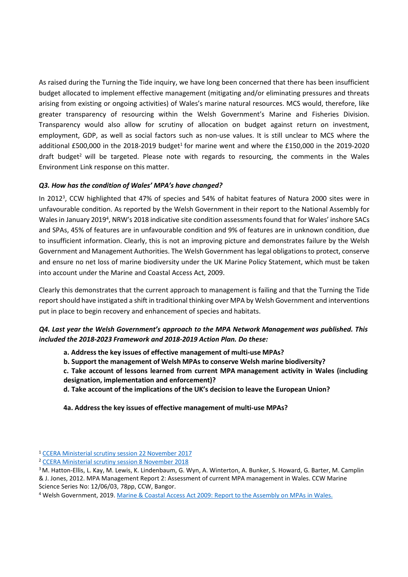As raised during the Turning the Tide inquiry, we have long been concerned that there has been insufficient budget allocated to implement effective management (mitigating and/or eliminating pressures and threats arising from existing or ongoing activities) of Wales's marine natural resources. MCS would, therefore, like greater transparency of resourcing within the Welsh Government's Marine and Fisheries Division. Transparency would also allow for scrutiny of allocation on budget against return on investment, employment, GDP, as well as social factors such as non-use values. It is still unclear to MCS where the additional £500,000 in the 2018-2019 budget<sup>1</sup> for marine went and where the £150,000 in the 2019-2020 draft budget<sup>2</sup> will be targeted. Please note with regards to resourcing, the comments in the Wales Environment Link response on this matter.

## *Q3. How has the condition of Wales' MPA's have changed?*

In 20123, CCW highlighted that 47% of species and 54% of habitat features of Natura 2000 sites were in unfavourable condition. As reported by the Welsh Government in their report to the National Assembly for Wales in January 2019<sup>4</sup>, NRW's 2018 indicative site condition assessments found that for Wales' inshore SACs and SPAs, 45% of features are in unfavourable condition and 9% of features are in unknown condition, due to insufficient information. Clearly, this is not an improving picture and demonstrates failure by the Welsh Government and Management Authorities. The Welsh Government has legal obligationsto protect, conserve and ensure no net loss of marine biodiversity under the UK Marine Policy Statement, which must be taken into account under the Marine and Coastal Access Act, 2009.

Clearly this demonstrates that the current approach to management is failing and that the Turning the Tide report should have instigated a shift in traditional thinking over MPA by Welsh Government and interventions put in place to begin recovery and enhancement of species and habitats.

# *Q4. Last year the Welsh Government's approach to the MPA Network Management was published. This included the 2018-2023 Framework and 2018-2019 Action Plan. Do these:*

- **a. Address the key issues of effective management of multi-use MPAs?**
- **b. Support the management of Welsh MPAs to conserve Welsh marine biodiversity?**
- **c. Take account of lessons learned from current MPA management activity in Wales (including designation, implementation and enforcement)?**
- **d. Take account of the implications of the UK's decision to leave the European Union?**

## **4a. Address the key issues of effective management of multi-use MPAs?**

<sup>1</sup> CCERA [Ministerial](http://record.assembly.wales/Committee/5084) scrutiny session 22 November 2017

<sup>2</sup> CCERA [Ministerial](http://record.assembly.wales/Committee/5084) scrutiny session 8 November 2018

<sup>3</sup> M. Hatton-Ellis, L. Kay, M. Lewis, K. Lindenbaum, G. Wyn, A. Winterton, A. Bunker, S. Howard, G. Barter, M. Camplin & J. Jones, 2012. MPA Management Report 2: Assessment of current MPA management in Wales. CCW Marine Science Series No: 12/06/03, 78pp, CCW, Bangor.

<sup>4</sup> Welsh Government, 2019. Marine & Coastal [Access Act](http://www.assembly.wales/laid%20documents/gen-ld12056/gen-ld12056-e.pdf) 2009: Report to the Assembly on MPAs in Wales.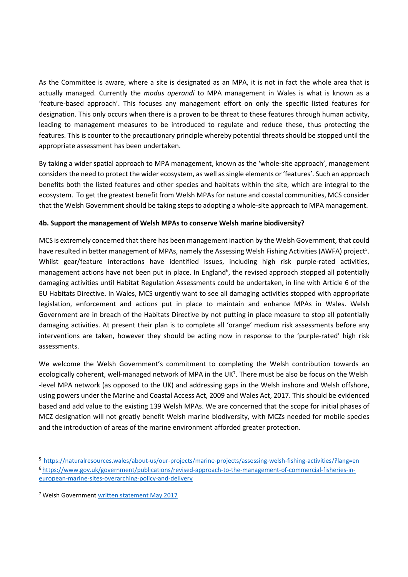As the Committee is aware, where a site is designated as an MPA, it is not in fact the whole area that is actually managed. Currently the *modus operandi* to MPA management in Wales is what is known as a 'feature-based approach'. This focuses any management effort on only the specific listed features for designation. This only occurs when there is a proven to be threat to these features through human activity, leading to management measures to be introduced to regulate and reduce these, thus protecting the features. This is counter to the precautionary principle whereby potential threats should be stopped until the appropriate assessment has been undertaken.

By taking a wider spatial approach to MPA management, known as the 'whole-site approach', management considers the need to protect the wider ecosystem, as well as single elements or 'features'. Such an approach benefits both the listed features and other species and habitats within the site, which are integral to the ecosystem. To get the greatest benefit from Welsh MPAs for nature and coastal communities, MCS consider that the Welsh Government should be taking steps to adopting a whole-site approach to MPA management.

### **4b. Support the management of Welsh MPAs to conserve Welsh marine biodiversity?**

MCS is extremely concerned that there has been management inaction by the Welsh Government, that could have resulted in better management of MPAs, namely the Assessing Welsh Fishing Activities (AWFA) project<sup>5</sup>. Whilst gear/feature interactions have identified issues, including high risk purple-rated activities, management actions have not been put in place. In England<sup>6</sup>, the revised approach stopped all potentially damaging activities until Habitat Regulation Assessments could be undertaken, in line with Article 6 of the EU Habitats Directive. In Wales, MCS urgently want to see all damaging activities stopped with appropriate legislation, enforcement and actions put in place to maintain and enhance MPAs in Wales. Welsh Government are in breach of the Habitats Directive by not putting in place measure to stop all potentially damaging activities. At present their plan is to complete all 'orange' medium risk assessments before any interventions are taken, however they should be acting now in response to the 'purple-rated' high risk assessments.

We welcome the Welsh Government's commitment to completing the Welsh contribution towards an ecologically coherent, well-managed network of MPA in the UK<sup>7</sup>. There must be also be focus on the Welsh -level MPA network (as opposed to the UK) and addressing gaps in the Welsh inshore and Welsh offshore, using powers under the Marine and Coastal Access Act, 2009 and Wales Act, 2017. This should be evidenced based and add value to the existing 139 Welsh MPAs. We are concerned that the scope for initial phases of MCZ designation will not greatly benefit Welsh marine biodiversity, with MCZs needed for mobile species and the introduction of areas of the marine environment afforded greater protection.

<sup>5</sup> <https://naturalresources.wales/about-us/our-projects/marine-projects/assessing-welsh-fishing-activities/?lang=en> <sup>6</sup> [https://www.gov.uk/government/publications/revised-approach-to-the-management-of-commercial-fisheries-in](https://www.gov.uk/government/publications/revised-approach-to-the-management-of-commercial-fisheries-in-european-marine-sites-overarching-policy-and-delivery)[european-marine-sites-overarching-policy-and-delivery](https://www.gov.uk/government/publications/revised-approach-to-the-management-of-commercial-fisheries-in-european-marine-sites-overarching-policy-and-delivery)

<sup>7</sup> Welsh Government written [statement](https://gov.wales/written-statement-completing-welsh-contribution-towards-ecologically-coherent-well-managed-network) May 2017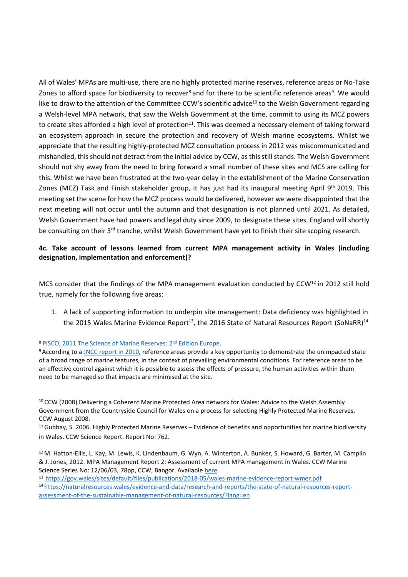All of Wales' MPAs are multi-use, there are no highly protected marine reserves, reference areas or No-Take Zones to afford space for biodiversity to recover<sup>8</sup> and for there to be scientific reference areas<sup>9</sup>. We would like to draw to the attention of the Committee CCW's scientific advice<sup>10</sup> to the Welsh Government regarding a Welsh-level MPA network, that saw the Welsh Government at the time, commit to using its MCZ powers to create sites afforded a high level of protection $11$ . This was deemed a necessary element of taking forward an ecosystem approach in secure the protection and recovery of Welsh marine ecosystems. Whilst we appreciate that the resulting highly-protected MCZ consultation process in 2012 was miscommunicated and mishandled, thisshould not detract from the initial advice by CCW, asthisstill stands. The Welsh Government should not shy away from the need to bring forward a small number of these sites and MCS are calling for this. Whilst we have been frustrated at the two-year delay in the establishment of the Marine Conservation Zones (MCZ) Task and Finish stakeholder group, it has just had its inaugural meeting April 9th 2019. This meeting set the scene for how the MCZ process would be delivered, however we were disappointed that the next meeting will not occur until the autumn and that designation is not planned until 2021. As detailed, Welsh Government have had powers and legal duty since 2009, to designate these sites. England will shortly be consulting on their 3<sup>rd</sup> tranche, whilst Welsh Government have yet to finish their site scoping research.

## **4c. Take account of lessons learned from current MPA management activity in Wales (including designation, implementation and enforcement)?**

MCS consider that the findings of the MPA management evaluation conducted by CCW $^{12}$  in 2012 still hold true, namely for the following five areas:

1. A lack of supporting information to underpin site management: Data deficiency was highlighted in the 2015 Wales Marine Evidence Report<sup>13</sup>, the 2016 State of Natural Resources Report (SoNaRR)<sup>14</sup>

#### 8 PISCO, 2011. The Science of Marine Reserves: 2<sup>nd</sup> Edition Europe.

9 According to a [JNCC report in 2010, r](http://jncc.defra.gov.uk/pdf/mcz_draftreferenceareaguidance.pdf)eference areas provide a key opportunity to demonstrate the unimpacted state of a broad range of marine features, in the context of prevailing environmental conditions. For reference areas to be an effective control against which it is possible to assess the effects of pressure, the human activities within them need to be managed so that impacts are minimised at the site.

10 CCW (2008) Delivering a Coherent Marine Protected Area network for Wales: Advice to the Welsh Assembly Government from the Countryside Council for Wales on a process for selecting Highly Protected Marine Reserves, CCW August 2008.

<sup>11</sup> Gubbay, S. 2006. Highly Protected Marine Reserves – Evidence of benefits and opportunities for marine biodiversity in Wales. CCW Science Report. Report No: 762.

<sup>12</sup> M. Hatton-Ellis, L. Kay, M. Lewis, K. Lindenbaum, G. Wyn, A. Winterton, A. Bunker, S. Howard, G. Barter, M. Camplin & J. Jones, 2012. MPA Management Report 2: Assessment of current MPA management in Wales. CCW Marine Science Series No: 12/06/03, 78pp, CCW, Bangor. Available [here.](http://senedd.assembly.wales/documents/s61680/Countryside%20Council%20for%20Wales%20-%20MPA%20Management%20in%20Wales%201.pdf)

<sup>13</sup> <https://gov.wales/sites/default/files/publications/2018-05/wales-marine-evidence-report-wmer.pdf>

<sup>14</sup> [https://naturalresources.wales/evidence-and-data/research-and-reports/the-state-of-natural-resources-report](https://naturalresources.wales/evidence-and-data/research-and-reports/the-state-of-natural-resources-report-assessment-of-the-sustainable-management-of-natural-resources/?lang=en)[assessment-of-the-sustainable-management-of-natural-resources/?lang=en](https://naturalresources.wales/evidence-and-data/research-and-reports/the-state-of-natural-resources-report-assessment-of-the-sustainable-management-of-natural-resources/?lang=en)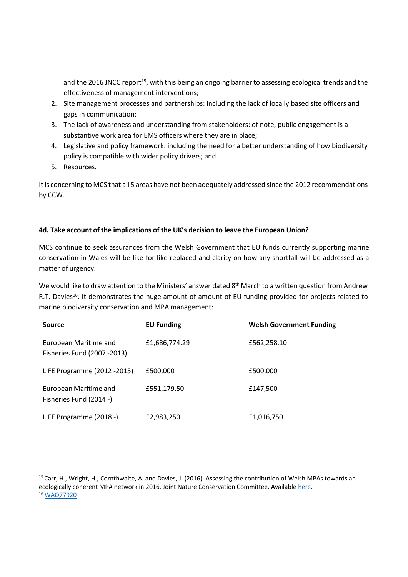and the 2016 JNCC report<sup>15</sup>, with this being an ongoing barrier to assessing ecological trends and the effectiveness of management interventions;

- 2. Site management processes and partnerships: including the lack of locally based site officers and gaps in communication;
- 3. The lack of awareness and understanding from stakeholders: of note, public engagement is a substantive work area for EMS officers where they are in place;
- 4. Legislative and policy framework: including the need for a better understanding of how biodiversity policy is compatible with wider policy drivers; and
- 5. Resources.

It is concerning to MCS that all 5 areas have not been adequately addressed since the 2012 recommendations by CCW.

# **4d***.* **Take account of the implications of the UK's decision to leave the European Union?**

MCS continue to seek assurances from the Welsh Government that EU funds currently supporting marine conservation in Wales will be like-for-like replaced and clarity on how any shortfall will be addressed as a matter of urgency.

We would like to draw attention to the Ministers' answer dated 8<sup>th</sup> March to a written question from Andrew R.T. Davies<sup>16</sup>. It demonstrates the huge amount of amount of EU funding provided for projects related to marine biodiversity conservation and MPA management:

| Source                                                       | <b>EU Funding</b> | <b>Welsh Government Funding</b> |
|--------------------------------------------------------------|-------------------|---------------------------------|
| <b>European Maritime and</b><br>Fisheries Fund (2007 - 2013) | £1,686,774.29     | £562,258.10                     |
| LIFE Programme (2012 - 2015)                                 | £500,000          | £500,000                        |
| <b>European Maritime and</b><br>Fisheries Fund (2014 -)      | £551,179.50       | £147,500                        |
| LIFE Programme (2018 -)                                      | £2,983,250        | £1,016,750                      |

<sup>15</sup> Carr, H., Wright, H., Cornthwaite, A. and Davies, J. (2016). Assessing the contribution of Welsh MPAs towards an ecologically coherent MPA network in 2016. Joint Nature Conservation Committee. Available here. <sup>16</sup> [WAQ77920](http://www.assembly.wales/written%20questions%20documents/information%20further%20to%20written%20assembly%20question%2077922/190226-77922-e.pdf)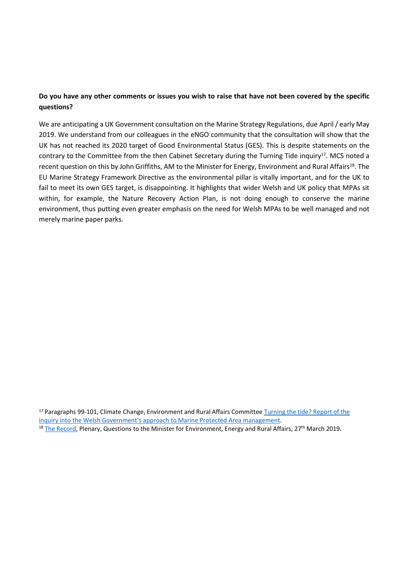# **Do you have any other comments or issues you wish to raise that have not been covered by the specific questions?**

We are anticipating a UK Government consultation on the Marine Strategy Regulations, due April / early May 2019. We understand from our colleagues in the eNGO community that the consultation will show that the UK has not reached its 2020 target of Good Environmental Status (GES). This is despite statements on the contrary to the Committee from the then Cabinet Secretary during the Turning Tide inquiry<sup>17</sup>. MCS noted a recent question on this by John Griffiths, AM to the Minister for Energy, Environment and Rural Affairs18. The EU Marine Strategy Framework Directive as the environmental pillar is vitally important, and for the UK to fail to meet its own GES target, is disappointing. It highlights that wider Welsh and UK policy that MPAs sit within, for example, the Nature Recovery Action Plan, is not doing enough to conserve the marine environment, thus putting even greater emphasis on the need for Welsh MPAs to be well managed and not merely marine paper parks.

<sup>17</sup> Paragraphs 99-101, Climate Change, Environment and Rural Affairs Committee [Turning](http://www.assembly.wales/laid%20documents/cr-ld11159/cr-ld11159-e.pdf) the tide? Report of the inquiry into the Welsh [Government's](http://www.assembly.wales/laid%20documents/cr-ld11159/cr-ld11159-e.pdf) approach to Marine Protected Area management. <sup>18</sup> The [Record,](http://record.assembly.wales/Plenary/5572#A49871) Plenary, Questions to the Minister for Environment, Energy and Rural Affairs, 27<sup>th</sup> March 2019.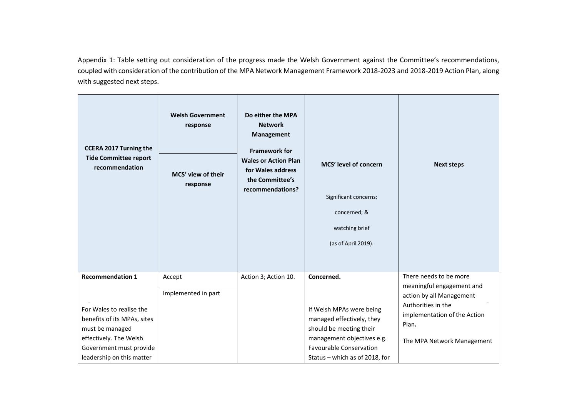Appendix 1: Table setting out consideration of the progress made the Welsh Government against the Committee's recommendations, coupled with consideration of the contribution of the MPA Network Management Framework 2018-2023 and 2018-2019 Action Plan, along with suggested next steps.

| <b>CCERA 2017 Turning the</b><br><b>Tide Committee report</b><br>recommendation                                                                                                         | <b>Welsh Government</b><br>response<br>MCS' view of their<br>response | Do either the MPA<br><b>Network</b><br>Management<br><b>Framework for</b><br><b>Wales or Action Plan</b><br>for Wales address<br>the Committee's<br>recommendations? | MCS' level of concern<br>Significant concerns;<br>concerned; &<br>watching brief<br>(as of April 2019).                                                                                          | <b>Next steps</b>                                                                                                                                                            |
|-----------------------------------------------------------------------------------------------------------------------------------------------------------------------------------------|-----------------------------------------------------------------------|----------------------------------------------------------------------------------------------------------------------------------------------------------------------|--------------------------------------------------------------------------------------------------------------------------------------------------------------------------------------------------|------------------------------------------------------------------------------------------------------------------------------------------------------------------------------|
| <b>Recommendation 1</b><br>For Wales to realise the<br>benefits of its MPAs, sites<br>must be managed<br>effectively. The Welsh<br>Government must provide<br>leadership on this matter | Accept<br>Implemented in part                                         | Action 3; Action 10.                                                                                                                                                 | Concerned.<br>If Welsh MPAs were being<br>managed effectively, they<br>should be meeting their<br>management objectives e.g.<br><b>Favourable Conservation</b><br>Status - which as of 2018, for | There needs to be more<br>meaningful engagement and<br>action by all Management<br>Authorities in the<br>implementation of the Action<br>Plan.<br>The MPA Network Management |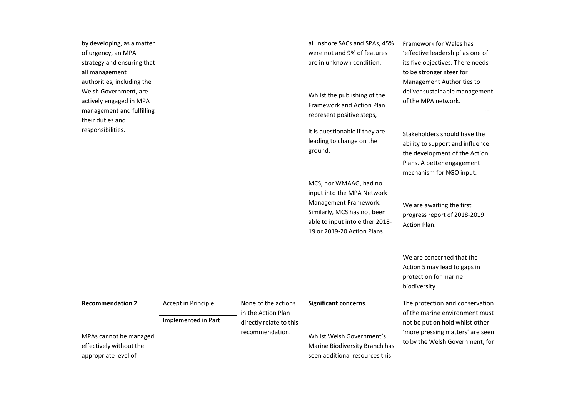| by developing, as a matter<br>of urgency, an MPA<br>strategy and ensuring that<br>all management<br>authorities, including the<br>Welsh Government, are<br>actively engaged in MPA<br>management and fulfilling<br>their duties and |                     |                                                                  | all inshore SACs and SPAs, 45%<br>were not and 9% of features<br>are in unknown condition.<br>Whilst the publishing of the<br>Framework and Action Plan<br>represent positive steps,                                                                    | Framework for Wales has<br>'effective leadership' as one of<br>its five objectives. There needs<br>to be stronger steer for<br>Management Authorities to<br>deliver sustainable management<br>of the MPA network.                        |
|-------------------------------------------------------------------------------------------------------------------------------------------------------------------------------------------------------------------------------------|---------------------|------------------------------------------------------------------|---------------------------------------------------------------------------------------------------------------------------------------------------------------------------------------------------------------------------------------------------------|------------------------------------------------------------------------------------------------------------------------------------------------------------------------------------------------------------------------------------------|
| responsibilities.                                                                                                                                                                                                                   |                     |                                                                  | it is questionable if they are<br>leading to change on the<br>ground.<br>MCS, nor WMAAG, had no<br>input into the MPA Network<br>Management Framework.<br>Similarly, MCS has not been<br>able to input into either 2018-<br>19 or 2019-20 Action Plans. | Stakeholders should have the<br>ability to support and influence<br>the development of the Action<br>Plans. A better engagement<br>mechanism for NGO input.<br>We are awaiting the first<br>progress report of 2018-2019<br>Action Plan. |
|                                                                                                                                                                                                                                     |                     |                                                                  |                                                                                                                                                                                                                                                         | We are concerned that the<br>Action 5 may lead to gaps in<br>protection for marine<br>biodiversity.                                                                                                                                      |
| <b>Recommendation 2</b>                                                                                                                                                                                                             | Accept in Principle | None of the actions                                              | Significant concerns.                                                                                                                                                                                                                                   | The protection and conservation                                                                                                                                                                                                          |
| MPAs cannot be managed<br>effectively without the<br>appropriate level of                                                                                                                                                           | Implemented in Part | in the Action Plan<br>directly relate to this<br>recommendation. | Whilst Welsh Government's<br>Marine Biodiversity Branch has<br>seen additional resources this                                                                                                                                                           | of the marine environment must<br>not be put on hold whilst other<br>'more pressing matters' are seen<br>to by the Welsh Government, for                                                                                                 |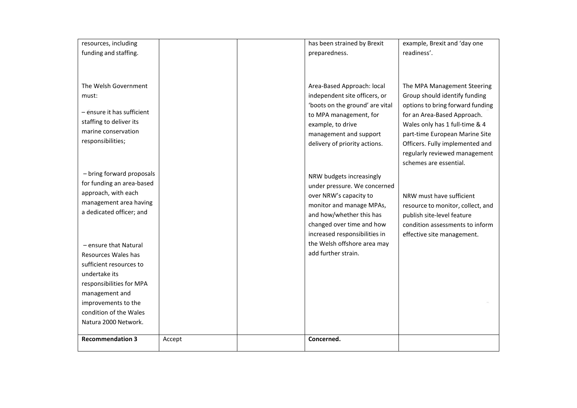| resources, including       |        | has been strained by Brexit     | example, Brexit and 'day one      |
|----------------------------|--------|---------------------------------|-----------------------------------|
| funding and staffing.      |        | preparedness.                   | readiness'.                       |
|                            |        |                                 |                                   |
|                            |        |                                 |                                   |
| The Welsh Government       |        | Area-Based Approach: local      | The MPA Management Steering       |
| must:                      |        | independent site officers, or   | Group should identify funding     |
|                            |        | 'boots on the ground' are vital | options to bring forward funding  |
| - ensure it has sufficient |        | to MPA management, for          | for an Area-Based Approach.       |
| staffing to deliver its    |        | example, to drive               | Wales only has 1 full-time & 4    |
| marine conservation        |        | management and support          | part-time European Marine Site    |
| responsibilities;          |        | delivery of priority actions.   | Officers. Fully implemented and   |
|                            |        |                                 | regularly reviewed management     |
|                            |        |                                 | schemes are essential.            |
| - bring forward proposals  |        | NRW budgets increasingly        |                                   |
| for funding an area-based  |        | under pressure. We concerned    |                                   |
| approach, with each        |        | over NRW's capacity to          | NRW must have sufficient          |
| management area having     |        | monitor and manage MPAs,        | resource to monitor, collect, and |
| a dedicated officer; and   |        | and how/whether this has        | publish site-level feature        |
|                            |        | changed over time and how       | condition assessments to inform   |
|                            |        | increased responsibilities in   | effective site management.        |
| - ensure that Natural      |        | the Welsh offshore area may     |                                   |
| Resources Wales has        |        | add further strain.             |                                   |
| sufficient resources to    |        |                                 |                                   |
| undertake its              |        |                                 |                                   |
| responsibilities for MPA   |        |                                 |                                   |
| management and             |        |                                 |                                   |
| improvements to the        |        |                                 |                                   |
| condition of the Wales     |        |                                 |                                   |
| Natura 2000 Network.       |        |                                 |                                   |
| <b>Recommendation 3</b>    | Accept | Concerned.                      |                                   |
|                            |        |                                 |                                   |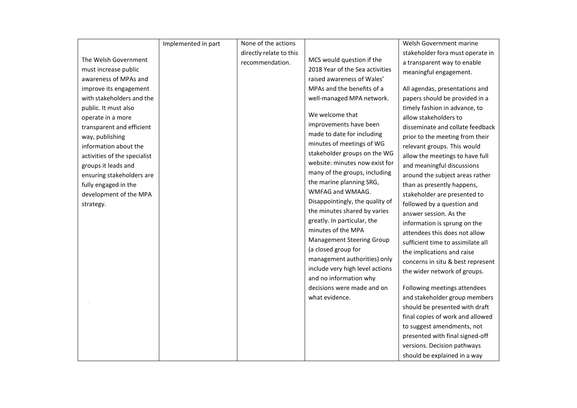|                              | Implemented in part | None of the actions     |                                                           | Welsh Government marine                                            |
|------------------------------|---------------------|-------------------------|-----------------------------------------------------------|--------------------------------------------------------------------|
|                              |                     | directly relate to this |                                                           | stakeholder fora must operate in                                   |
| The Welsh Government         |                     | recommendation.         | MCS would question if the                                 | a transparent way to enable                                        |
| must increase public         |                     |                         | 2018 Year of the Sea activities                           | meaningful engagement.                                             |
| awareness of MPAs and        |                     |                         | raised awareness of Wales'                                |                                                                    |
| improve its engagement       |                     |                         | MPAs and the benefits of a                                | All agendas, presentations and                                     |
| with stakeholders and the    |                     |                         | well-managed MPA network.                                 | papers should be provided in a                                     |
| public. It must also         |                     |                         |                                                           | timely fashion in advance, to                                      |
| operate in a more            |                     |                         | We welcome that                                           | allow stakeholders to                                              |
| transparent and efficient    |                     |                         | improvements have been                                    | disseminate and collate feedback                                   |
| way, publishing              |                     |                         | made to date for including                                | prior to the meeting from their                                    |
| information about the        |                     |                         | minutes of meetings of WG                                 | relevant groups. This would                                        |
| activities of the specialist |                     |                         | stakeholder groups on the WG                              | allow the meetings to have full                                    |
| groups it leads and          |                     |                         | website: minutes now exist for                            | and meaningful discussions                                         |
| ensuring stakeholders are    |                     |                         | many of the groups, including                             | around the subject areas rather                                    |
| fully engaged in the         |                     |                         | the marine planning SRG,                                  | than as presently happens,                                         |
| development of the MPA       |                     |                         | WMFAG and WMAAG.                                          | stakeholder are presented to                                       |
| strategy.                    |                     |                         | Disappointingly, the quality of                           | followed by a question and                                         |
|                              |                     |                         | the minutes shared by varies                              | answer session. As the                                             |
|                              |                     |                         | greatly. In particular, the<br>minutes of the MPA         | information is sprung on the                                       |
|                              |                     |                         |                                                           | attendees this does not allow                                      |
|                              |                     |                         | <b>Management Steering Group</b>                          | sufficient time to assimilate all                                  |
|                              |                     |                         | (a closed group for                                       | the implications and raise                                         |
|                              |                     |                         | management authorities) only                              | concerns in situ & best represent                                  |
|                              |                     |                         | include very high level actions<br>and no information why | the wider network of groups.                                       |
|                              |                     |                         | decisions were made and on                                | Following meetings attendees                                       |
|                              |                     |                         | what evidence.                                            |                                                                    |
|                              |                     |                         |                                                           | and stakeholder group members                                      |
|                              |                     |                         |                                                           | should be presented with draft<br>final copies of work and allowed |
|                              |                     |                         |                                                           | to suggest amendments, not                                         |
|                              |                     |                         |                                                           | presented with final signed-off                                    |
|                              |                     |                         |                                                           | versions. Decision pathways                                        |
|                              |                     |                         |                                                           |                                                                    |
|                              |                     |                         |                                                           | should be explained in a way                                       |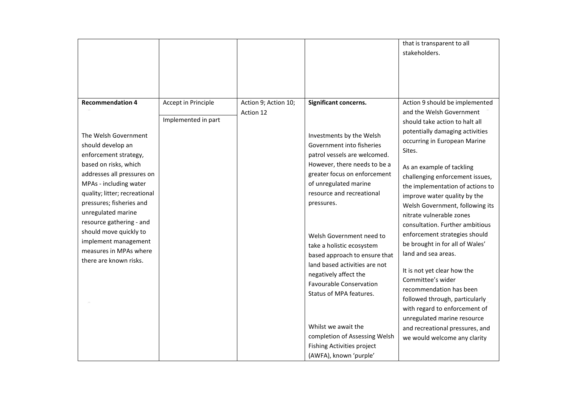|                                                                                                                                                                                                                                                                                                                                                                                                     |                                            |                                   |                                                                                                                                                                                                                                                                                                                                                                                                                                                                                                                                    | that is transparent to all<br>stakeholders.                                                                                                                                                                                                                                                                                                                                                                                                                                                                                                                                                                                                                                                                                                                     |
|-----------------------------------------------------------------------------------------------------------------------------------------------------------------------------------------------------------------------------------------------------------------------------------------------------------------------------------------------------------------------------------------------------|--------------------------------------------|-----------------------------------|------------------------------------------------------------------------------------------------------------------------------------------------------------------------------------------------------------------------------------------------------------------------------------------------------------------------------------------------------------------------------------------------------------------------------------------------------------------------------------------------------------------------------------|-----------------------------------------------------------------------------------------------------------------------------------------------------------------------------------------------------------------------------------------------------------------------------------------------------------------------------------------------------------------------------------------------------------------------------------------------------------------------------------------------------------------------------------------------------------------------------------------------------------------------------------------------------------------------------------------------------------------------------------------------------------------|
| <b>Recommendation 4</b><br>The Welsh Government<br>should develop an<br>enforcement strategy,<br>based on risks, which<br>addresses all pressures on<br>MPAs - including water<br>quality; litter; recreational<br>pressures; fisheries and<br>unregulated marine<br>resource gathering - and<br>should move quickly to<br>implement management<br>measures in MPAs where<br>there are known risks. | Accept in Principle<br>Implemented in part | Action 9; Action 10;<br>Action 12 | <b>Significant concerns.</b><br>Investments by the Welsh<br>Government into fisheries<br>patrol vessels are welcomed.<br>However, there needs to be a<br>greater focus on enforcement<br>of unregulated marine<br>resource and recreational<br>pressures.<br>Welsh Government need to<br>take a holistic ecosystem<br>based approach to ensure that<br>land based activities are not<br>negatively affect the<br><b>Favourable Conservation</b><br>Status of MPA features.<br>Whilst we await the<br>completion of Assessing Welsh | Action 9 should be implemented<br>and the Welsh Government<br>should take action to halt all<br>potentially damaging activities<br>occurring in European Marine<br>Sites.<br>As an example of tackling<br>challenging enforcement issues,<br>the implementation of actions to<br>improve water quality by the<br>Welsh Government, following its<br>nitrate vulnerable zones<br>consultation. Further ambitious<br>enforcement strategies should<br>be brought in for all of Wales'<br>land and sea areas.<br>It is not yet clear how the<br>Committee's wider<br>recommendation has been<br>followed through, particularly_<br>with regard to enforcement of<br>unregulated marine resource<br>and recreational pressures, and<br>we would welcome any clarity |
|                                                                                                                                                                                                                                                                                                                                                                                                     |                                            |                                   | Fishing Activities project<br>(AWFA), known 'purple'                                                                                                                                                                                                                                                                                                                                                                                                                                                                               |                                                                                                                                                                                                                                                                                                                                                                                                                                                                                                                                                                                                                                                                                                                                                                 |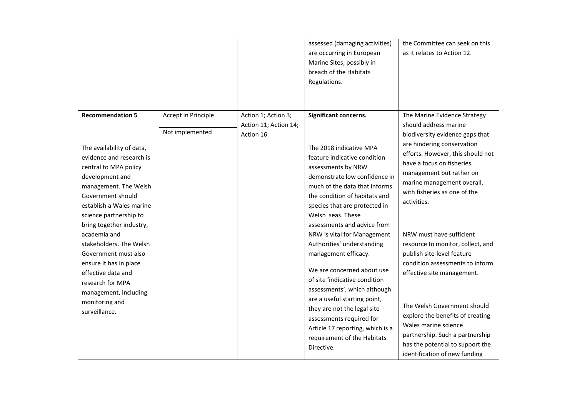|                                                                                                                                                                                                                                                                                                                                                                                                                                                                 |                                        |                                                           | assessed (damaging activities)<br>are occurring in European<br>Marine Sites, possibly in<br>breach of the Habitats<br>Regulations.                                                                                                                                                                                                                                                                                                                                                                                                                                                                                       | the Committee can seek on this<br>as it relates to Action 12.                                                                                                                                                                                                                                                                                                                                                                                                                                                                                                |
|-----------------------------------------------------------------------------------------------------------------------------------------------------------------------------------------------------------------------------------------------------------------------------------------------------------------------------------------------------------------------------------------------------------------------------------------------------------------|----------------------------------------|-----------------------------------------------------------|--------------------------------------------------------------------------------------------------------------------------------------------------------------------------------------------------------------------------------------------------------------------------------------------------------------------------------------------------------------------------------------------------------------------------------------------------------------------------------------------------------------------------------------------------------------------------------------------------------------------------|--------------------------------------------------------------------------------------------------------------------------------------------------------------------------------------------------------------------------------------------------------------------------------------------------------------------------------------------------------------------------------------------------------------------------------------------------------------------------------------------------------------------------------------------------------------|
| <b>Recommendation 5</b><br>The availability of data,<br>evidence and research is<br>central to MPA policy<br>development and<br>management. The Welsh<br>Government should<br>establish a Wales marine<br>science partnership to<br>bring together industry,<br>academia and<br>stakeholders. The Welsh<br>Government must also<br>ensure it has in place<br>effective data and<br>research for MPA<br>management, including<br>monitoring and<br>surveillance. | Accept in Principle<br>Not implemented | Action 1; Action 3;<br>Action 11; Action 14;<br>Action 16 | <b>Significant concerns.</b><br>The 2018 indicative MPA<br>feature indicative condition<br>assessments by NRW<br>demonstrate low confidence in<br>much of the data that informs<br>the condition of habitats and<br>species that are protected in<br>Welsh seas. These<br>assessments and advice from<br>NRW is vital for Management<br>Authorities' understanding<br>management efficacy.<br>We are concerned about use<br>of site 'indicative condition<br>assessments', which although<br>are a useful starting point,<br>they are not the legal site<br>assessments required for<br>Article 17 reporting, which is a | The Marine Evidence Strategy<br>should address marine<br>biodiversity evidence gaps that<br>are hindering conservation<br>efforts. However, this should not<br>have a focus on fisheries<br>management but rather on<br>marine management overall,<br>with fisheries as one of the<br>activities.<br>NRW must have sufficient<br>resource to monitor, collect, and<br>publish site-level feature<br>condition assessments to inform<br>effective site management.<br>The Welsh Government should<br>explore the benefits of creating<br>Wales marine science |
|                                                                                                                                                                                                                                                                                                                                                                                                                                                                 |                                        |                                                           | requirement of the Habitats<br>Directive.                                                                                                                                                                                                                                                                                                                                                                                                                                                                                                                                                                                | partnership. Such a partnership<br>has the potential to support the<br>identification of new funding                                                                                                                                                                                                                                                                                                                                                                                                                                                         |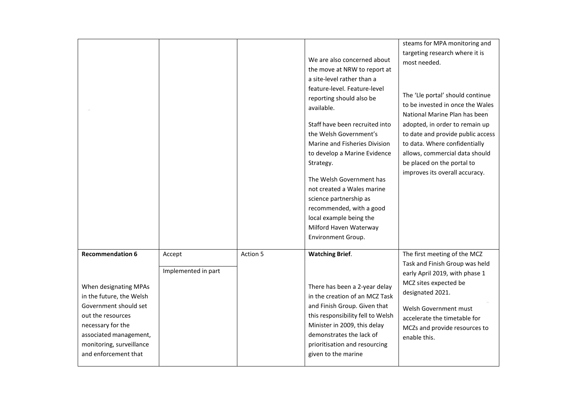|                                                                                                                                                                                                                               |                               |          | We are also concerned about<br>the move at NRW to report at<br>a site-level rather than a<br>feature-level. Feature-level<br>reporting should also be<br>available.<br>Staff have been recruited into<br>the Welsh Government's<br>Marine and Fisheries Division<br>to develop a Marine Evidence<br>Strategy.<br>The Welsh Government has<br>not created a Wales marine<br>science partnership as<br>recommended, with a good<br>local example being the<br>Milford Haven Waterway<br>Environment Group. | steams for MPA monitoring and<br>targeting research where it is<br>most needed.<br>The 'Lle portal' should continue<br>to be invested in once the Wales<br>National Marine Plan has been<br>adopted, in order to remain up<br>to date and provide public access<br>to data. Where confidentially<br>allows, commercial data should<br>be placed on the portal to<br>improves its overall accuracy. |
|-------------------------------------------------------------------------------------------------------------------------------------------------------------------------------------------------------------------------------|-------------------------------|----------|----------------------------------------------------------------------------------------------------------------------------------------------------------------------------------------------------------------------------------------------------------------------------------------------------------------------------------------------------------------------------------------------------------------------------------------------------------------------------------------------------------|----------------------------------------------------------------------------------------------------------------------------------------------------------------------------------------------------------------------------------------------------------------------------------------------------------------------------------------------------------------------------------------------------|
| <b>Recommendation 6</b><br>When designating MPAs<br>in the future, the Welsh<br>Government should set<br>out the resources<br>necessary for the<br>associated management,<br>monitoring, surveillance<br>and enforcement that | Accept<br>Implemented in part | Action 5 | <b>Watching Brief.</b><br>There has been a 2-year delay<br>in the creation of an MCZ Task<br>and Finish Group. Given that<br>this responsibility fell to Welsh<br>Minister in 2009, this delay<br>demonstrates the lack of<br>prioritisation and resourcing<br>given to the marine                                                                                                                                                                                                                       | The first meeting of the MCZ<br>Task and Finish Group was held<br>early April 2019, with phase 1<br>MCZ sites expected be<br>designated 2021.<br>Welsh Government must<br>accelerate the timetable for<br>MCZs and provide resources to<br>enable this.                                                                                                                                            |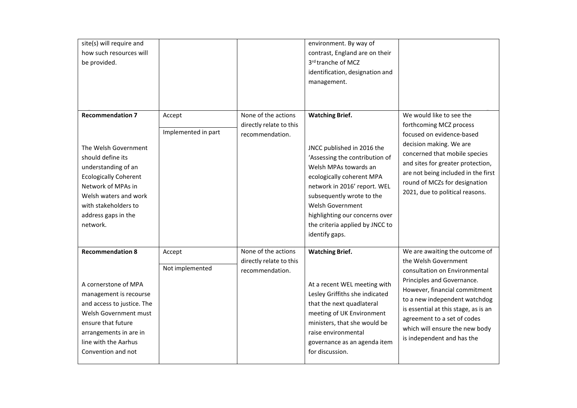| site(s) will require and<br>how such resources will<br>be provided.                                                                                                                                                                   |                               |                                                                   | environment. By way of<br>contrast, England are on their<br>3rd tranche of MCZ<br>identification, designation and<br>management.                                                                                                                                                                                     |                                                                                                                                                                                                                                                                                                                                |
|---------------------------------------------------------------------------------------------------------------------------------------------------------------------------------------------------------------------------------------|-------------------------------|-------------------------------------------------------------------|----------------------------------------------------------------------------------------------------------------------------------------------------------------------------------------------------------------------------------------------------------------------------------------------------------------------|--------------------------------------------------------------------------------------------------------------------------------------------------------------------------------------------------------------------------------------------------------------------------------------------------------------------------------|
| <b>Recommendation 7</b><br>The Welsh Government<br>should define its<br>understanding of an<br><b>Ecologically Coherent</b><br>Network of MPAs in<br>Welsh waters and work<br>with stakeholders to<br>address gaps in the<br>network. | Accept<br>Implemented in part | None of the actions<br>directly relate to this<br>recommendation. | <b>Watching Brief.</b><br>JNCC published in 2016 the<br>'Assessing the contribution of<br>Welsh MPAs towards an<br>ecologically coherent MPA<br>network in 2016' report. WEL<br>subsequently wrote to the<br>Welsh Government<br>highlighting our concerns over<br>the criteria applied by JNCC to<br>identify gaps. | We would like to see the<br>forthcoming MCZ process<br>focused on evidence-based<br>decision making. We are<br>concerned that mobile species<br>and sites for greater protection,<br>are not being included in the first<br>round of MCZs for designation<br>2021, due to political reasons.                                   |
| <b>Recommendation 8</b><br>A cornerstone of MPA<br>management is recourse<br>and access to justice. The<br>Welsh Government must<br>ensure that future<br>arrangements in are in<br>line with the Aarhus<br>Convention and not        | Accept<br>Not implemented     | None of the actions<br>directly relate to this<br>recommendation. | <b>Watching Brief.</b><br>At a recent WEL meeting with<br>Lesley Griffiths she indicated<br>that the next quadlateral<br>meeting of UK Environment<br>ministers, that she would be<br>raise environmental<br>governance as an agenda item<br>for discussion.                                                         | We are awaiting the outcome of<br>the Welsh Government<br>consultation on Environmental<br>Principles and Governance.<br>However, financial commitment<br>to a new independent watchdog<br>is essential at this stage, as is an<br>agreement to a set of codes<br>which will ensure the new body<br>is independent and has the |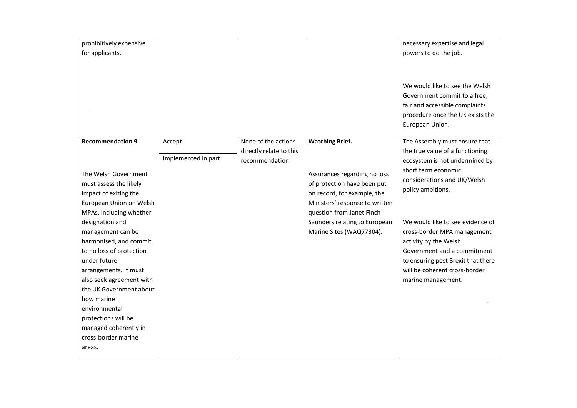| prohibitively expensive  |                     |                         |                                | necessary expertise and legal      |
|--------------------------|---------------------|-------------------------|--------------------------------|------------------------------------|
| for applicants.          |                     |                         |                                | powers to do the job.              |
|                          |                     |                         |                                |                                    |
|                          |                     |                         |                                |                                    |
|                          |                     |                         |                                |                                    |
|                          |                     |                         |                                | We would like to see the Welsh     |
|                          |                     |                         |                                | Government commit to a free,       |
|                          |                     |                         |                                | fair and accessible complaints     |
|                          |                     |                         |                                | procedure once the UK exists the   |
|                          |                     |                         |                                | European Union.                    |
|                          |                     |                         |                                |                                    |
| <b>Recommendation 9</b>  | Accept              | None of the actions     | <b>Watching Brief.</b>         | The Assembly must ensure that      |
|                          |                     | directly relate to this |                                | the true value of a functioning    |
|                          | Implemented in part | recommendation.         |                                | ecosystem is not undermined by     |
| The Welsh Government     |                     |                         | Assurances regarding no loss   | short term economic                |
| must assess the likely   |                     |                         | of protection have been put    | considerations and UK/Welsh        |
| impact of exiting the    |                     |                         | on record, for example, the    | policy ambitions.                  |
| European Union on Welsh  |                     |                         | Ministers' response to written |                                    |
| MPAs, including whether  |                     |                         | question from Janet Finch-     |                                    |
| designation and          |                     |                         | Saunders relating to European  | We would like to see evidence of   |
| management can be        |                     |                         | Marine Sites (WAQ77304).       | cross-border MPA management        |
| harmonised, and commit   |                     |                         |                                | activity by the Welsh              |
| to no loss of protection |                     |                         |                                | Government and a commitment        |
| under future             |                     |                         |                                | to ensuring post Brexit that there |
| arrangements. It must    |                     |                         |                                | will be coherent cross-border      |
| also seek agreement with |                     |                         |                                | marine management.                 |
| the UK Government about  |                     |                         |                                |                                    |
| how marine               |                     |                         |                                |                                    |
| environmental            |                     |                         |                                |                                    |
| protections will be      |                     |                         |                                |                                    |
| managed coherently in    |                     |                         |                                |                                    |
| cross-border marine      |                     |                         |                                |                                    |
| areas.                   |                     |                         |                                |                                    |
|                          |                     |                         |                                |                                    |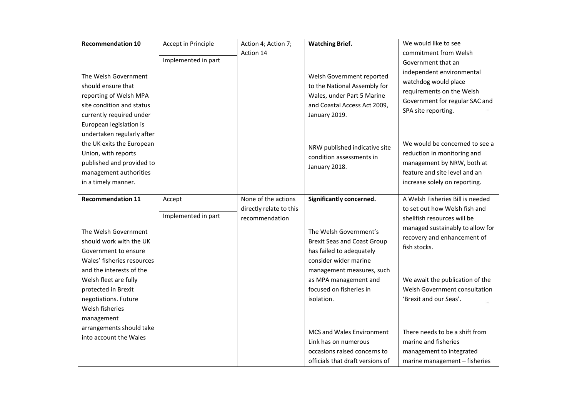| <b>Recommendation 10</b><br>The Welsh Government<br>should ensure that<br>reporting of Welsh MPA<br>site condition and status<br>currently required under<br>European legislation is                                                                                   | Accept in Principle<br>Implemented in part | Action 4; Action 7;<br>Action 14                                 | <b>Watching Brief.</b><br>Welsh Government reported<br>to the National Assembly for<br>Wales, under Part 5 Marine<br>and Coastal Access Act 2009,<br>January 2019.                                                                           | We would like to see<br>commitment from Welsh<br>Government that an<br>independent environmental<br>watchdog would place<br>requirements on the Welsh<br>Government for regular SAC and<br>SPA site reporting.                                                                    |
|------------------------------------------------------------------------------------------------------------------------------------------------------------------------------------------------------------------------------------------------------------------------|--------------------------------------------|------------------------------------------------------------------|----------------------------------------------------------------------------------------------------------------------------------------------------------------------------------------------------------------------------------------------|-----------------------------------------------------------------------------------------------------------------------------------------------------------------------------------------------------------------------------------------------------------------------------------|
| undertaken regularly after<br>the UK exits the European<br>Union, with reports<br>published and provided to<br>management authorities<br>in a timely manner.                                                                                                           |                                            |                                                                  | NRW published indicative site<br>condition assessments in<br>January 2018.                                                                                                                                                                   | We would be concerned to see a<br>reduction in monitoring and<br>management by NRW, both at<br>feature and site level and an<br>increase solely on reporting.                                                                                                                     |
| <b>Recommendation 11</b><br>The Welsh Government<br>should work with the UK<br>Government to ensure<br>Wales' fisheries resources<br>and the interests of the<br>Welsh fleet are fully<br>protected in Brexit<br>negotiations. Future<br>Welsh fisheries<br>management | Accept<br>Implemented in part              | None of the actions<br>directly relate to this<br>recommendation | Significantly concerned.<br>The Welsh Government's<br><b>Brexit Seas and Coast Group</b><br>has failed to adequately<br>consider wider marine<br>management measures, such<br>as MPA management and<br>focused on fisheries in<br>isolation. | A Welsh Fisheries Bill is needed<br>to set out how Welsh fish and<br>shellfish resources will be<br>managed sustainably to allow for<br>recovery and enhancement of<br>fish stocks.<br>We await the publication of the<br>Welsh Government consultation<br>'Brexit and our Seas'. |
| arrangements should take<br>into account the Wales                                                                                                                                                                                                                     |                                            |                                                                  | <b>MCS and Wales Environment</b><br>Link has on numerous<br>occasions raised concerns to<br>officials that draft versions of                                                                                                                 | There needs to be a shift from<br>marine and fisheries<br>management to integrated<br>marine management - fisheries                                                                                                                                                               |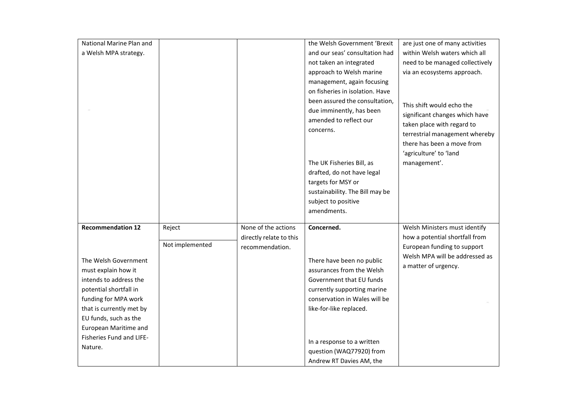| National Marine Plan and |                 |                         | the Welsh Government 'Brexit                           | are just one of many activities                              |
|--------------------------|-----------------|-------------------------|--------------------------------------------------------|--------------------------------------------------------------|
| a Welsh MPA strategy.    |                 |                         | and our seas' consultation had                         | within Welsh waters which all                                |
|                          |                 |                         | not taken an integrated                                | need to be managed collectively                              |
|                          |                 |                         | approach to Welsh marine                               | via an ecosystems approach.                                  |
|                          |                 |                         | management, again focusing                             |                                                              |
|                          |                 |                         | on fisheries in isolation. Have                        |                                                              |
|                          |                 |                         | been assured the consultation,                         | This shift would echo the                                    |
|                          |                 |                         | due imminently, has been                               | significant changes which have                               |
|                          |                 |                         | amended to reflect our                                 |                                                              |
|                          |                 |                         | concerns.                                              | taken place with regard to<br>terrestrial management whereby |
|                          |                 |                         |                                                        | there has been a move from                                   |
|                          |                 |                         |                                                        | 'agriculture' to 'land                                       |
|                          |                 |                         | The UK Fisheries Bill, as                              | management'.                                                 |
|                          |                 |                         | drafted, do not have legal                             |                                                              |
|                          |                 |                         | targets for MSY or                                     |                                                              |
|                          |                 |                         | sustainability. The Bill may be                        |                                                              |
|                          |                 |                         | subject to positive                                    |                                                              |
|                          |                 |                         | amendments.                                            |                                                              |
|                          |                 |                         |                                                        |                                                              |
| <b>Recommendation 12</b> | Reject          | None of the actions     | Concerned.                                             | Welsh Ministers must identify                                |
|                          |                 | directly relate to this |                                                        | how a potential shortfall from                               |
|                          | Not implemented | recommendation.         |                                                        | European funding to support                                  |
| The Welsh Government     |                 |                         | There have been no public                              | Welsh MPA will be addressed as                               |
| must explain how it      |                 |                         | assurances from the Welsh                              | a matter of urgency.                                         |
| intends to address the   |                 |                         | Government that EU funds                               |                                                              |
| potential shortfall in   |                 |                         | currently supporting marine                            |                                                              |
| funding for MPA work     |                 |                         | conservation in Wales will be                          |                                                              |
| that is currently met by |                 |                         | like-for-like replaced.                                |                                                              |
| EU funds, such as the    |                 |                         |                                                        |                                                              |
| European Maritime and    |                 |                         |                                                        |                                                              |
| Fisheries Fund and LIFE- |                 |                         |                                                        |                                                              |
| Nature.                  |                 |                         | In a response to a written<br>question (WAQ77920) from |                                                              |
|                          |                 |                         |                                                        |                                                              |
|                          |                 |                         | Andrew RT Davies AM, the                               |                                                              |